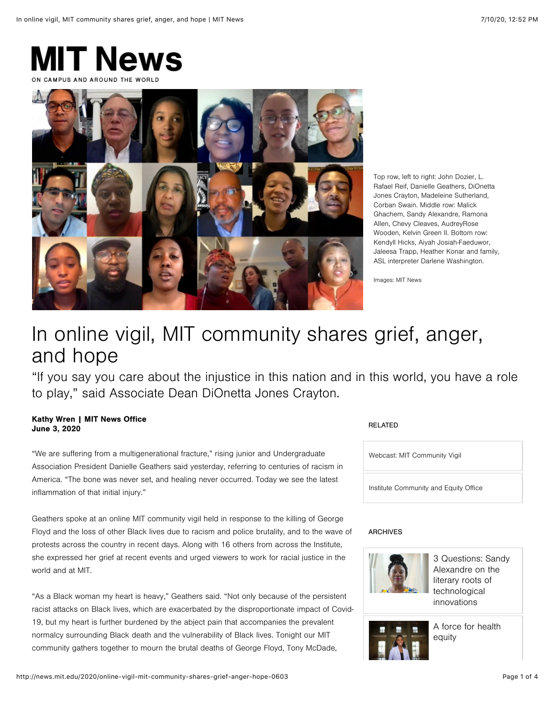



Top row, left to right: John Dozier, L. Rafael Reif, Danielle Geathers, DiOnetta Jones Crayton, Madeleine Sutherland, Corban Swain. Middle row: Malick Ghachem, Sandy Alexandre, Ramona Allen, Chevy Cleaves, AudreyRose Wooden, Kelvin Green II. Bottom row: Kendyll Hicks, Aiyah Josiah-Faeduwor, Jaleesa Trapp, Heather Konar and family, ASL interpreter Darlene Washington.

Images: MIT News

# In online vigil, MIT community shares grief, anger, and hope

"If you say you care about the injustice in this nation and in this world, you have a role to play," said Associate Dean DiOnetta Jones Crayton.

## Kathy Wren | MIT News Office June 3, 2020

"We are suffering from a multigenerational fracture," rising junior and Undergraduate Association President Danielle Geathers said yesterday, referring to centuries of racism in America. "The bone was never set, and healing never occurred. Today we see the latest inflammation of that initial injury."

Geathers spoke at an online MIT community vigil held in response to the killing of George Floyd and the loss of other Black lives due to racism and police brutality, and to the wave of protests across the country in recent days. Along with 16 others from across the Institute, she expressed her grief at recent events and urged viewers to work for racial justice in the world and at MIT.

"As a Black woman my heart is heavy," Geathers said. "Not only because of the persistent racist attacks on Black lives, which are exacerbated by the disproportionate impact of Covid-19, but my heart is further burdened by the abject pain that accompanies the prevalent normalcy surrounding Black death and the vulnerability of Black lives. Tonight our MIT community gathers together to mourn the brutal deaths of George Floyd, Tony McDade,

## RELATED



## ARCHIVES



[3 Questions: Sandy](http://news.mit.edu/2020/3-questions-sandy-alexandre-literary-roots-technological-innovations-0601) Alexandre on the literary roots of technological innovations



[A force for health](http://news.mit.edu/2020/kendyll-hicks-a-force-for-health-equity-0301) equity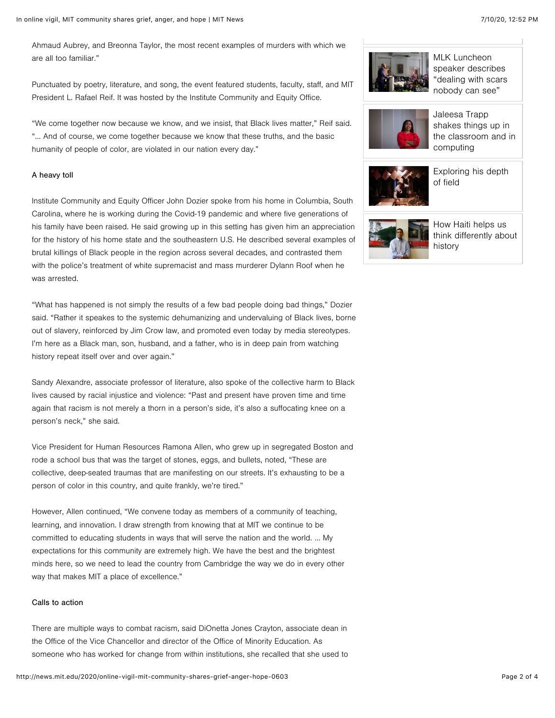Ahmaud Aubrey, and Breonna Taylor, the most recent examples of murders with which we are all too familiar."

Punctuated by poetry, literature, and song, the event featured students, faculty, staff, and MIT President L. Rafael Reif. It was hosted by the Institute Community and Equity Office.

"We come together now because we know, and we insist, that Black lives matter," Reif said. "… And of course, we come together because we know that these truths, and the basic humanity of people of color, are violated in our nation every day."

#### A heavy toll

Institute Community and Equity Officer John Dozier spoke from his home in Columbia, South Carolina, where he is working during the Covid-19 pandemic and where five generations of his family have been raised. He said growing up in this setting has given him an appreciation for the history of his home state and the southeastern U.S. He described several examples of brutal killings of Black people in the region across several decades, and contrasted them with the police's treatment of white supremacist and mass murderer Dylann Roof when he was arrested.

"What has happened is not simply the results of a few bad people doing bad things," Dozier said. "Rather it speakes to the systemic dehumanizing and undervaluing of Black lives, borne out of slavery, reinforced by Jim Crow law, and promoted even today by media stereotypes. I'm here as a Black man, son, husband, and a father, who is in deep pain from watching history repeat itself over and over again."

Sandy Alexandre, associate professor of literature, also spoke of the collective harm to Black lives caused by racial injustice and violence: "Past and present have proven time and time again that racism is not merely a thorn in a person's side, it's also a suffocating knee on a person's neck," she said.

Vice President for Human Resources Ramona Allen, who grew up in segregated Boston and rode a school bus that was the target of stones, eggs, and bullets, noted, "These are collective, deep-seated traumas that are manifesting on our streets. It's exhausting to be a person of color in this country, and quite frankly, we're tired."

However, Allen continued, "We convene today as members of a community of teaching, learning, and innovation. I draw strength from knowing that at MIT we continue to be committed to educating students in ways that will serve the nation and the world. … My expectations for this community are extremely high. We have the best and the brightest minds here, so we need to lead the country from Cambridge the way we do in every other way that makes MIT a place of excellence."

#### Calls to action

There are multiple ways to combat racism, said DiOnetta Jones Crayton, associate dean in the Office of the Vice Chancellor and director of the Office of Minority Education. As someone who has worked for change from within institutions, she recalled that she used to



MLK Luncheon speaker describes ["dealing with scars](http://news.mit.edu/2020/mlk-luncheon-richardson-0213) nobody can see"



Jaleesa Trapp shakes things up in [the classroom and in](http://news.mit.edu/2019/jaleesa-trapp-computing-1115) computing



[Exploring his depth](http://news.mit.edu/2018/student-profile-corban-swain-0222) of field



How Haiti helps us [think differently about](http://news.mit.edu/2017/faculty-profile-malick-ghachem-1205) history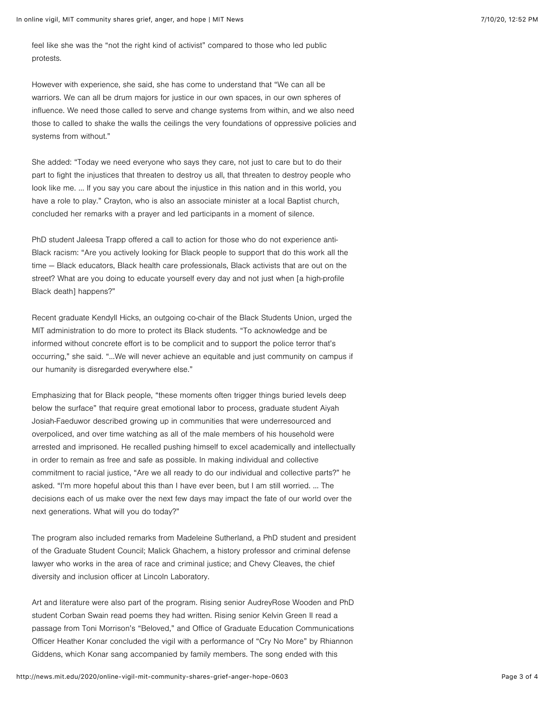feel like she was the "not the right kind of activist" compared to those who led public protests.

However with experience, she said, she has come to understand that "We can all be warriors. We can all be drum majors for justice in our own spaces, in our own spheres of influence. We need those called to serve and change systems from within, and we also need those to called to shake the walls the ceilings the very foundations of oppressive policies and systems from without."

She added: "Today we need everyone who says they care, not just to care but to do their part to fight the injustices that threaten to destroy us all, that threaten to destroy people who look like me. … If you say you care about the injustice in this nation and in this world, you have a role to play." Crayton, who is also an associate minister at a local Baptist church, concluded her remarks with a prayer and led participants in a moment of silence.

PhD student Jaleesa Trapp offered a call to action for those who do not experience anti-Black racism: "Are you actively looking for Black people to support that do this work all the time — Black educators, Black health care professionals, Black activists that are out on the street? What are you doing to educate yourself every day and not just when [a high-profile Black death] happens?"

Recent graduate Kendyll Hicks, an outgoing co-chair of the Black Students Union, urged the MIT administration to do more to protect its Black students. "To acknowledge and be informed without concrete effort is to be complicit and to support the police terror that's occurring," she said. "…We will never achieve an equitable and just community on campus if our humanity is disregarded everywhere else."

Emphasizing that for Black people, "these moments often trigger things buried levels deep below the surface" that require great emotional labor to process, graduate student Aiyah Josiah-Faeduwor described growing up in communities that were underresourced and overpoliced, and over time watching as all of the male members of his household were arrested and imprisoned. He recalled pushing himself to excel academically and intellectually in order to remain as free and safe as possible. In making individual and collective commitment to racial justice, "Are we all ready to do our individual and collective parts?" he asked. "I'm more hopeful about this than I have ever been, but I am still worried. … The decisions each of us make over the next few days may impact the fate of our world over the next generations. What will you do today?"

The program also included remarks from Madeleine Sutherland, a PhD student and president of the Graduate Student Council; Malick Ghachem, a history professor and criminal defense lawyer who works in the area of race and criminal justice; and Chevy Cleaves, the chief diversity and inclusion officer at Lincoln Laboratory.

Art and literature were also part of the program. Rising senior AudreyRose Wooden and PhD student Corban Swain read poems they had written. Rising senior Kelvin Green II read a passage from Toni Morrison's "Beloved," and Office of Graduate Education Communications Officer Heather Konar concluded the vigil with a performance of "Cry No More" by Rhiannon Giddens, which Konar sang accompanied by family members. The song ended with this